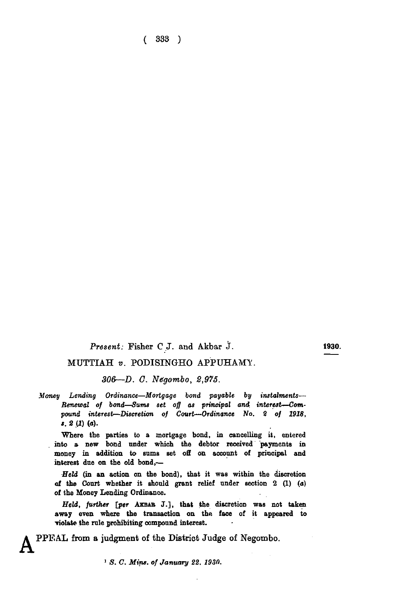**( 333 )** 

## *Present:* **Fisher C.J. and Akbar J.**

1930.

## **MUTTIAH** v. PODISINGHO APPUHAMY.

*306—D. G. Negombo, 2,975.* 

*Money Lending Ordinance—Mortgage bond payable by instalments— Renewal of bond*—Sums *set off as principal and interest—Compound interest—Discretion of Court—Ordinance No.* 8 *of 1918, s.* 2 (I) (a).

Where the parties to a mortgage bond, in cancelling it, entered into a new bond under which the debtor received payments in money in addition to sums set off on account of principal and interest due on the old bond,—

*•Held* (in an action on the bond), that it was within the discretion of the Court whether it should grant relief under section 2 **(1)** (a) of the Money Lending Ordinance.

*Held, further* [per **AXBAB** J.], that the discretion was not taken away even where the transaction on the face of it appeared to Tiolate the rule prohibiting componnd interest.

**PPEAL from a judgment of the District Judge of Negombo.** 

*1 S. C. Mins. of January 22. 1930.*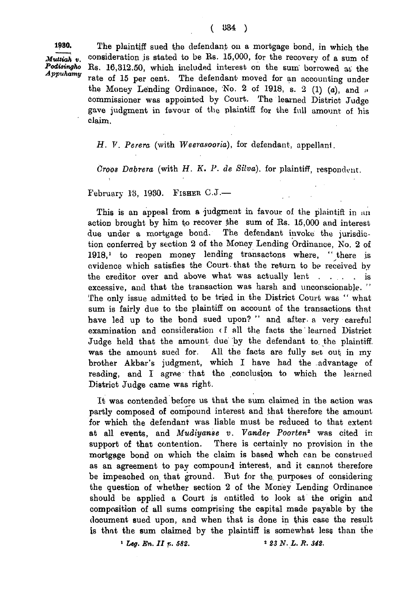**1980.** The plaintiff sued the defendant on a mortgage bond, in which the *Muttiah v.* consideration is stated to be Rs. 15,000, for the recovery of a sum of *Podisingho* Rs. 16,312,50, which included interest on the sum horrowed at the *Podisingho* Rs. 16,312.50, which included interest on the sum borrowed ai the rate of 15 per cent. The defendant moved for an accounting under the Money Lending Ordinance, No. 2 of 1918, s. 2 (1)  $(a)$ , and  $\cdots$ commissioner was appointed by Court. The learned District Judge gave judgment in favour of the plaintiff for the full amount of his claim.

*H. V. Perera* (with *Weeraxooria),* for defendant, appellani.

*Croos Dabrera* (with *H. K. P. de Silva),* for plaintiff, respondent.

February 13, 1930. FISHER  $C.J.$ —

This is an appeal from a judgment in favour of the plaintiff in an action brought by him to recover the sum of Rs.  $15,000$  and interest due under a mortgage bond. The defendant invoke the jurisdiction conferred by section 2 of the Money Lending Ordinance, No. 2 of  $1918$ ,<sup>1</sup> to reopen money lending transactons where, "there is evidence which satisfies the Court- that the return to be received by the creditor over and above what was actually lent . . . . is excessive, and that the transaction was harsh and unconscionable." The only issue admitted to be tried in the District Court was " what sum is fairly due to the plaintiff on account of the transactions that have led up to the bond sued upon? " and after a very careful examination and consideration ( f all the facts the learned District Judge held that the amount due by the defendant to the plaintiff. was the amount sued for. All the facts are fully set out in my brother Akbar's judgment, which I have had the advantage of reading, and 1 agree that the conclusion to which the learned District Judge came was right.

It was contended before us that the sum claimed in the action was partly composed of compound interest and that therefore the amount for which the defendant was liable must be reduced to that extent at all events, and *Mudiyanse v. Vander Poorten2* was cited in support of that contention. There is certainly no provision in the mortgage bond on which the claim is based whch can be construed as an agreement to pay compound interest, and it cannot therefore be impeached on that ground. But for the purposes of considering the question of whether section 2 of the Money Lending Ordinance should be applied a Court is entitled to look at the origin and composition of all sums comprising the capital made payable by the document sued upon, and when that is done in this case the result is that the sum claimed by the plaintiff is somewhat less than the

1 *Leg. En. I I r.. 582.* 2 *23 N. L. R. 342.*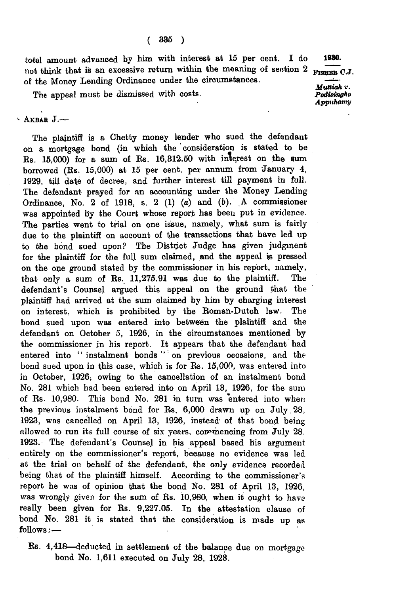total amount advanced by him with interest at 15 per cent. I do not think that is an excessive return within the meaning of section 2  $_{\text{Fisher C.J.}}$ of the Money Lending Ordinance under the circumstances. 1980.

The appeal must be dismissed with costs.

*Muttiah v. Podiaingho Appuhamy*

## $·$  AKBAR  $J.$ —

The plaintiff is a Chetty money lender who sued the defendant on a mortgage bond (in which the consideration is stated to be Rs. 15,000) for a sum of Rs. 16,312.50 with interest on the sum borrowed (Rs. 15,000) at 15 per cent, per annum from January 4, 1929, till date of decree, and further interest till payment in full. The defendant prayed for an accounting under the Money Lending Ordinance, No. 2 of 1918, s. 2 (1) (a) and *(b).* A commissioner was appointed by the Court whose report has been put in evidence. The parties went to trial on one issue, namely, what sum is fairly due to the plaintiff on account of the transactions that have led up to the bond sued upon? The District Judge has given judgment for the plaintiff for the full sum claimed, and the appeal is pressed on the one ground stated by the commissioner in his report, namely, that only a sum of Rs. 11,275.91 was due to the plaintiff. The defendant's Counsel argued this appeal on the ground that the plaintiff had arrived at the sum claimed by him by charging interest on interest, which is prohibited by the Roman-Dutch law. The bond sued upon was entered into between the plaintiff and the defendant on October 5, 1926, in the circumstances mentioned by the commissioner in his report. It appears that the defendant had entered into " instalment bonds " on previous occasions, and the bond sued upon in this case, which is for Rs. 15,000, was entered into in October, 1926; owing to the cancellation of an instalment bond No. 281 which had been entered into on April 13, 1926, for the sum of Rs. 10,980. This bond No. 281 in turn was entered into when the previous instalment bond for Rs. 6,000 drawn up on July 28, 1923, was cancelled on April 13, 1926, instead of that bond being allowed to run its full course of six years, commencing from July 28, 1923. The defendant's Counsel in his appeal based his argument entirely on the commissioner's report, because no evidence was led at the trial on behalf of the defendant, the only evidence recorded being that of the plaintiff himself. According to the commissioner's report he was of opinion that the bond No. 281 of April 13, 1926, was wrongly given for the sum of Rs. 10,980, when it ought to have really been given for Rs. 9,227.05. In the attestation clause of bond No. 281 it is stated that the consideration is made up as follows: —

Rs. 4,418— deducted in settlement of the balance due on mortgage bond No. 1,611 executed on July 28, 1923.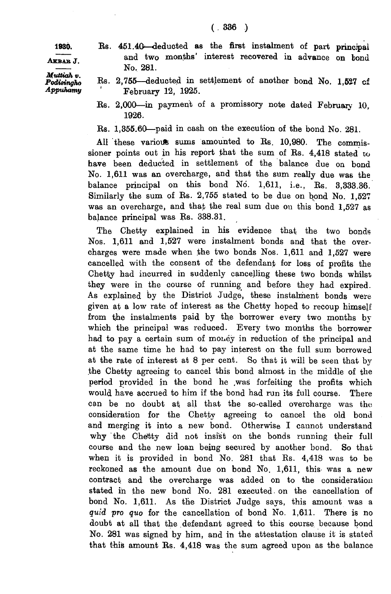1980. Rs. 451.40—deducted as the first instalment of part principal

Akbab J.

*Muttiah v. Podisingho Appuhamy*

- and two months' interest recovered in advance on bond No. 281. Rs. 2,755— deducted in settlement of another bond No. 1,527 of
- February 12, 1925.
- Rs. 2,000—in payment of a promissory note dated February 10, 1926.
- Rs. 1,355.60—paid in cash on the execution of the bond No. 281.

All these variouts sums amounted to Rs. 10,980. The commissioner points out in his report that the sum of Rs. 4,418 stated to have been deducted in settlement of the balance due on bond No. 1,611 was an overcharge, and that the sum really due was the balance principal on this bond No. 1,611, i.e., Rs. 3,333.36. Similarly the sum of Rs. 2,755 stated to be due on bond No. 1,527 was an overcharge, and that the real sum due on this bond 1,527 as balance principal was Rs. 338.31.

The Chetty explained in his evidence that the two bonds Nos. 1,611 and 1,527 were instalment bonds and that the overcharges were made when the two bonds Nos.  $1,611$  and  $1,527$  were cancelled with the consent of the defendant for loss of profits the Chetty had incurred in suddenly cancelling these two bonds whilst they were in the course of running and before they had expired. As explained by the District Judge, these instalment bonds were given at a low rate of interest as the Chetty hoped to recoup himself from the instalments paid by the borrower every two months by which the principal was reduced. Every two months the borrower had to pay a certain sum of money in reduction of the principal and at the same time he had to pay interest on the full sum borrowed at the rate of interest at 8 per cent. So that it will be seen that by the Chetty agreeing to cancel this bond almost in the middle of the period provided in the bond he .was forfeiting the profits which would have accrued to him if the bond had run its full course. There can be no doubt at all that the so-called overcharge was the consideration for the Chetty agreeing to cancel the old bond and merging it into a new bond. Otherwise I cannot understand why the Chetty did not insist on the bonds running their full course and the new loan being secured by another bond. So that when it is provided in bond No. 281 that Rs. 4,418 was to be reckoned as the amount due on bond No. 1,611, this was a new contract and the overcharge was added on to the consideration stated in the new bond No. 281 executed on the cancellation of bond No. 1,611. As the District Judge says, this amount was a *quid pro quo* for the cancellation of bond No. 1,611. There is no doubt at all that the defendant agreed to this course because bond No. 281 was signed by him, and in the attestation clause it is stated that this amount Rs. 4,418 was the sum agreed upon as the balance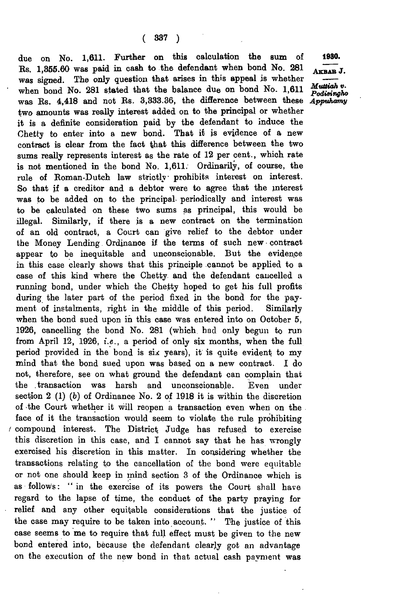due on No. 1,611. Further on this calculation the sum of Es. 1,356.60 was paid in cash to the defendant when bond No. 281 was signed. The only question that arises in this appeal is whether when bond No. 281 stated that the balance due on bond No. 1,611 was Rs. 4,418 and not Rs. 3,333.36, the difference between these two amounts was really interest added on to the principal or whether it is a definite consideration paid by the defendant to induce the Chetty to enter into a new bond. That it is evidence of a new contract is clear from the fact that this difference between the two sums really represents interest as the rate of 12 per cent., which rate is not mentioned in the bond No. 1,611. Ordinarily, of course, the rule of Roman-Dutch law strictly prohibits interest on interest. So that if a creditor and a debtor were to agree that the interest was to be added on to the principal- periodically and interest was to be calculated on these two sums as principal, this would be illegal. Similarly, if there is a new contract on the termination of an old contract, a Court can give relief to the debtor under the Money Lending Ordinance if the terms of such new contract appear to be inequitable and unconscionable. But the evidence in this case clearly shows that this principle cannot be applied to a case of this kind where the Chetty and the defendant cancelled a running bond, under which the Chetty hoped to get his full profits during the later part of the period fixed in the bond for the payment of instalments, right in the middle of this period. Similarly when the bond sued upon in this case was entered into on October 5, 1926, cancelling the bond No. 281 (which had only begun to run from April 12, 1926, *i.e.,* a period of only six months, when the full period provided in the bond is six years), it is quite evident to my mind that- the bond sued upon was based on a new contract. I do not, therefore, see on what ground the defendant can complain that the .transaction was harsh and unconscionable. Even under section 2 (1) (b) of Ordinance No. 2 of 1918 it is within the discretion of the Court whether it will reopen a transaction even when on the face of it the transaction would seem to violate the rule prohibiting *t* compound interest. The District. Judge has refused to exercise this discretion in this case, and I cannot say that he has wrongly exercised his discretion in this matter. In considering whether the transactions relating to the cancellation of the bond were equitable or not one should keep in mind section 3 of the Ordinance which is as follows: " in the exercise of its powers the Court shall have regard to the lapse of time, the conduct of the party praying for relief and any other equitable considerations that the justice of the case may require to be taken into account. " The justice of this case seems to me to require that full effect must be given to the new bond entered into, because the defendant clearly got an advantage on the execution of the new bond in that actual cash payment was

1980.

Akbab J.

*Muttiah v. Podieingho Appuhamy*